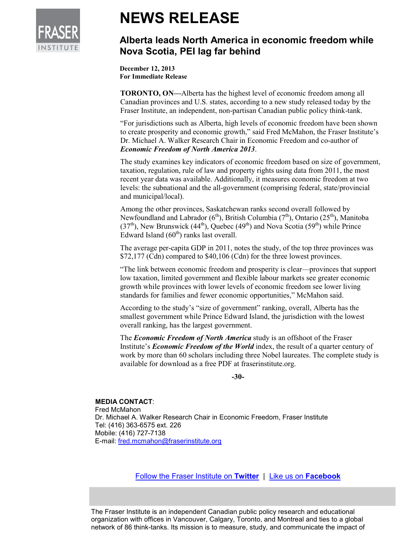

## **NEWS RELEASE**

## **Alberta leads North America in economic freedom while Nova Scotia, PEI lag far behind**

**December 12, 2013 For Immediate Release** 

**TORONTO, ON—**Alberta has the highest level of economic freedom among all Canadian provinces and U.S. states, according to a new study released today by the Fraser Institute, an independent, non-partisan Canadian public policy think-tank.

"For jurisdictions such as Alberta, high levels of economic freedom have been shown to create prosperity and economic growth," said Fred McMahon, the Fraser Institute's Dr. Michael A. Walker Research Chair in Economic Freedom and co-author of *Economic Freedom of North America 2013*.

The study examines key indicators of economic freedom based on size of government, taxation, regulation, rule of law and property rights using data from 2011, the most recent year data was available. Additionally, it measures economic freedom at two levels: the subnational and the all-government (comprising federal, state/provincial and municipal/local).

Among the other provinces, Saskatchewan ranks second overall followed by Newfoundland and Labrador ( $6<sup>th</sup>$ ), British Columbia ( $7<sup>th</sup>$ ), Ontario (25<sup>th</sup>), Manitoba (37<sup>th</sup>), New Brunswick (44<sup>th</sup>), Quebec (49<sup>th</sup>) and Nova Scotia (59<sup>th</sup>) while Prince Edward Island  $(60<sup>th</sup>)$  ranks last overall.

The average per-capita GDP in 2011, notes the study, of the top three provinces was \$72,177 (Cdn) compared to \$40,106 (Cdn) for the three lowest provinces.

"The link between economic freedom and prosperity is clear—provinces that support low taxation, limited government and flexible labour markets see greater economic growth while provinces with lower levels of economic freedom see lower living standards for families and fewer economic opportunities," McMahon said.

According to the study's "size of government" ranking, overall, Alberta has the smallest government while Prince Edward Island, the jurisdiction with the lowest overall ranking, has the largest government.

The *Economic Freedom of North America* study is an offshoot of the Fraser Institute's *Economic Freedom of the World* index, the result of a quarter century of work by more than 60 scholars including three Nobel laureates. The complete study is available for download as a free PDF at fraserinstitute.org.

**-30-** 

## **MEDIA CONTACT**:

Fred McMahon Dr. Michael A. Walker Research Chair in Economic Freedom, Fraser Institute Tel: (416) 363-6575 ext. 226 Mobile: (416) 727-7138 E-mail: fred.mcmahon@fraserinstitute.org

Follow the Fraser Institute on **Twitter** |Like us on **Facebook**

The Fraser Institute is an independent Canadian public policy research and educational organization with offices in Vancouver, Calgary, Toronto, and Montreal and ties to a global network of 86 think-tanks. Its mission is to measure, study, and communicate the impact of